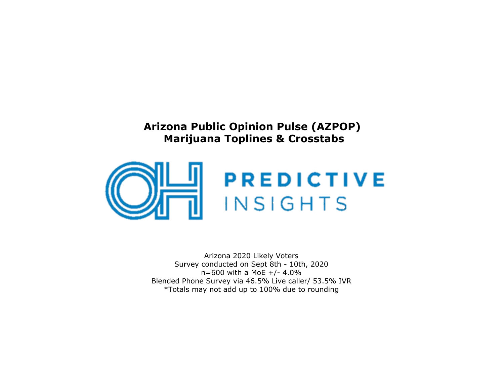## **Arizona Public Opinion Pulse (AZPOP)Marijuana Toplines & Crosstabs**



Arizona 2020 Likely Voters Survey conducted on Sept 8th - 10th, 2020 $n=600$  with a MoE +/- 4.0% Blended Phone Survey via 46.5% Live caller/ 53.5% IVR\*Totals may not add up to 100% due to rounding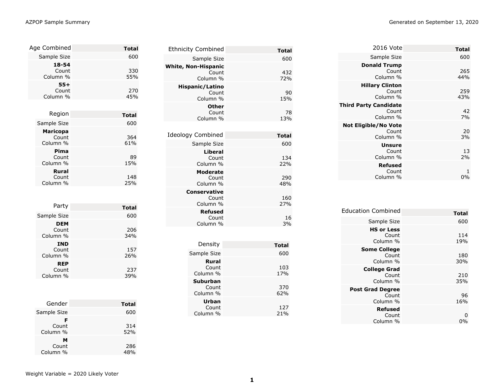|  | Generated on September 13, 2020<br>$\blacksquare$ . The contract of the contract of the contract of the contract of the contract of the contract of the contract of the contract of the contract of the contract of the contract of the contract of the contract of the |
|--|-------------------------------------------------------------------------------------------------------------------------------------------------------------------------------------------------------------------------------------------------------------------------|
|--|-------------------------------------------------------------------------------------------------------------------------------------------------------------------------------------------------------------------------------------------------------------------------|

| Age Combined                         | <b>Total</b> |
|--------------------------------------|--------------|
| Sample Size                          | 600          |
| 18-54<br>Count<br>Column %           | 330<br>55%   |
| $55+$<br>Count<br>Column %           | 270<br>45%   |
|                                      |              |
| Region                               | <b>Total</b> |
| Sample Size                          | 600          |
| <b>Maricopa</b><br>Count<br>Column % | 364<br>61%   |
| Pima<br>Count<br>Column %            | 89<br>15%    |
| Rural<br>Count<br>Column %           | 148<br>25%   |
|                                      |              |
| Party                                | <b>Total</b> |
| Sample Size                          | 600          |
| <b>DEM</b><br>Count<br>Column %      | 206<br>34%   |
| <b>IND</b><br>Count<br>Column %      | 157<br>26%   |
| <b>REP</b><br>Count<br>Column %      | 237<br>39%   |
|                                      |              |
| Gender                               | Total        |

| Gender                 | <b>Total</b> |
|------------------------|--------------|
| Sample Size            | 600          |
| F<br>Count<br>Column % | 314<br>52%   |
| м<br>Count<br>Column % | 286<br>48%   |

| <b>Ethnicity Combined</b>  |                                      | <b>Total</b>        |
|----------------------------|--------------------------------------|---------------------|
|                            | Sample Size                          | 600                 |
| <b>White, Non-Hispanic</b> | Count<br>Column %                    | 432<br>72%          |
| Hispanic/Latino            | Count<br>Column %                    | 90<br>15%           |
|                            | Other<br>Count<br>Column %           | 78<br>13%           |
| <b>Ideology Combined</b>   |                                      | <b>Total</b>        |
|                            | Sample Size                          | 600                 |
|                            | Liberal<br>Count<br>Column %         | 134<br>22%          |
|                            | <b>Moderate</b><br>Count<br>Column % | 290<br>48%          |
| Conservative               | Count<br>Column %                    | 160<br>27%          |
|                            | <b>Refused</b><br>Count<br>Column %  | 16<br>3%            |
|                            | Density                              |                     |
|                            |                                      | <b>Total</b><br>600 |
| Sample Size                | Rural<br>Count<br>Column %           | 103<br>17%          |
|                            | Suburban<br>Count<br>Column %        | 370<br>62%          |
|                            | Urban<br>Count<br>Column %           | 127<br>21%          |

| Total      | 2016 Vote                                         |
|------------|---------------------------------------------------|
| 600        | Sample Size                                       |
| 265<br>44% | <b>Donald Trump</b><br>Count<br>Column %          |
| 259<br>43% | <b>Hillary Clinton</b><br>Count<br>Column %       |
| 42<br>7%   | <b>Third Party Candidate</b><br>Count<br>Column % |
| 20<br>3%   | <b>Not Eligible/No Vote</b><br>Count<br>Column %  |
| 13<br>2%   | <b>Unsure</b><br>Count<br>Column %                |
| 1<br>0%    | <b>Refused</b><br>Count<br>Column %               |

| <b>Education Combined</b>                    |              |
|----------------------------------------------|--------------|
|                                              | <b>Total</b> |
| Sample Size                                  | 600          |
| <b>HS or Less</b><br>Count<br>Column %       | 114<br>19%   |
| <b>Some College</b><br>Count<br>Column %     | 180<br>30%   |
| <b>College Grad</b><br>Count<br>Column %     | 210<br>35%   |
| <b>Post Grad Degree</b><br>Count<br>Column % | 96<br>16%    |
| <b>Refused</b><br>Count<br>Column %          | 0%           |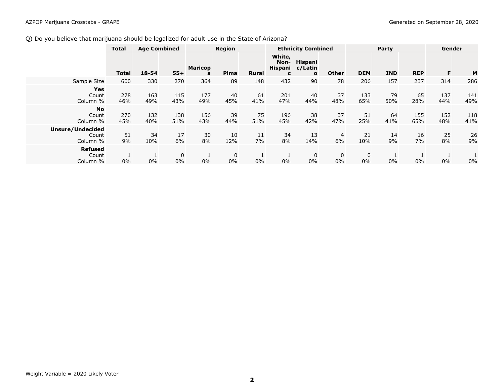## Q) Do you believe that marijuana should be legalized for adult use in the State of Arizona?

|                                       | <b>Total</b> |            | <b>Age Combined</b> |                     |                   |              |                                | <b>Ethnicity Combined</b>          |              |                   | Party      | Gender     |            |            |
|---------------------------------------|--------------|------------|---------------------|---------------------|-------------------|--------------|--------------------------------|------------------------------------|--------------|-------------------|------------|------------|------------|------------|
|                                       | <b>Total</b> | $18 - 54$  | $55+$               | <b>Maricop</b><br>a | Pima              | <b>Rural</b> | White,<br>Non-<br>Hispani<br>C | Hispani<br>c/Latin<br>$\mathbf{o}$ | <b>Other</b> | <b>DEM</b>        | <b>IND</b> | <b>REP</b> | F          | M          |
| Sample Size                           | 600          | 330        | 270                 | 364                 | 89                | 148          | 432                            | 90                                 | 78           | 206               | 157        | 237        | 314        | 286        |
| Yes<br>Count<br>Column %              | 278<br>46%   | 163<br>49% | 115<br>43%          | 177<br>49%          | 40<br>45%         | 61<br>41%    | 201<br>47%                     | 40<br>44%                          | 37<br>48%    | 133<br>65%        | 79<br>50%  | 65<br>28%  | 137<br>44% | 141<br>49% |
| <b>No</b><br>Count<br>Column %        | 270<br>45%   | 132<br>40% | 138<br>51%          | 156<br>43%          | 39<br>44%         | 75<br>51%    | 196<br>45%                     | 38<br>42%                          | 37<br>47%    | 51<br>25%         | 64<br>41%  | 155<br>65% | 152<br>48% | 118<br>41% |
| Unsure/Undecided<br>Count<br>Column % | 51<br>9%     | 34<br>10%  | 17<br>6%            | 30<br>8%            | 10<br>12%         | 11<br>7%     | 34<br>8%                       | 13<br>14%                          | 4<br>6%      | 21<br>10%         | 14<br>9%   | 16<br>7%   | 25<br>8%   | 26<br>9%   |
| <b>Refused</b><br>Count<br>Column %   | 0%           | 0%         | 0<br>0%             | Ŧ.<br>0%            | $\mathbf 0$<br>0% | $0\%$        | 0%                             | 0<br>$0\%$                         | 0<br>$0\%$   | $\mathbf 0$<br>0% | 0%         | 0%         | 0%         | 0%         |